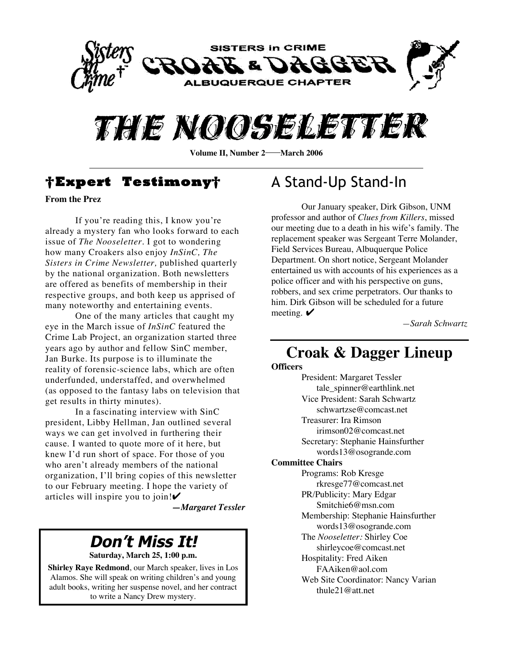



**Volume II, Number 2—March 2006** 

### **†Expert Testimony†**

**From the Prez**

If you're reading this, I know you're already a mystery fan who looks forward to each issue of *The Nooseletter*. I got to wondering how many Croakers also enjoy *InSinC, The Sisters in Crime Newsletter,* published quarterly by the national organization. Both newsletters are offered as benefits of membership in their respective groups, and both keep us apprised of many noteworthy and entertaining events.

One of the many articles that caught my eye in the March issue of *InSinC* featured the Crime Lab Project, an organization started three years ago by author and fellow SinC member, Jan Burke. Its purpose is to illuminate the reality of forensic-science labs, which are often underfunded, understaffed, and overwhelmed (as opposed to the fantasy labs on television that get results in thirty minutes).

In a fascinating interview with SinC president, Libby Hellman, Jan outlined several ways we can get involved in furthering their cause. I wanted to quote more of it here, but knew I'd run short of space. For those of you who aren't already members of the national organization, I'll bring copies of this newsletter to our February meeting. I hope the variety of articles will inspire you to join!✔

*—Margaret Tessler*

## **Don't Miss It!**

**Saturday, March 25, 1:00 p.m.**

**Shirley Raye Redmond**, our March speaker, lives in Los Alamos. She will speak on writing children's and young adult books, writing her suspense novel, and her contract to write a Nancy Drew mystery.

# A Stand-Up Stand-In

Our January speaker, Dirk Gibson, UNM professor and author of *Clues from Killers*, missed our meeting due to a death in his wife's family. The replacement speaker was Sergeant Terre Molander, Field Services Bureau, Albuquerque Police Department. On short notice, Sergeant Molander entertained us with accounts of his experiences as a police officer and with his perspective on guns, robbers, and sex crime perpetrators. Our thanks to him. Dirk Gibson will be scheduled for a future meeting.  $\blacktriangleright$ 

*—Sarah Schwartz*

### **Croak & Dagger Lineup**

**Officers**

President: Margaret Tessler tale\_spinner@earthlink.net Vice President: Sarah Schwartz schwartzse@comcast.net Treasurer: Ira Rimson irimson02@comcast.net Secretary: Stephanie Hainsfurther words13@osogrande.com **Committee Chairs** Programs: Rob Kresge rkresge77@comcast.net PR/Publicity: Mary Edgar Smitchie6@msn.com Membership: Stephanie Hainsfurther words13@osogrande.com The *Nooseletter:* Shirley Coe shirleycoe@comcast.net Hospitality: Fred Aiken FAAiken@aol.com Web Site Coordinator: Nancy Varian thule21@att.net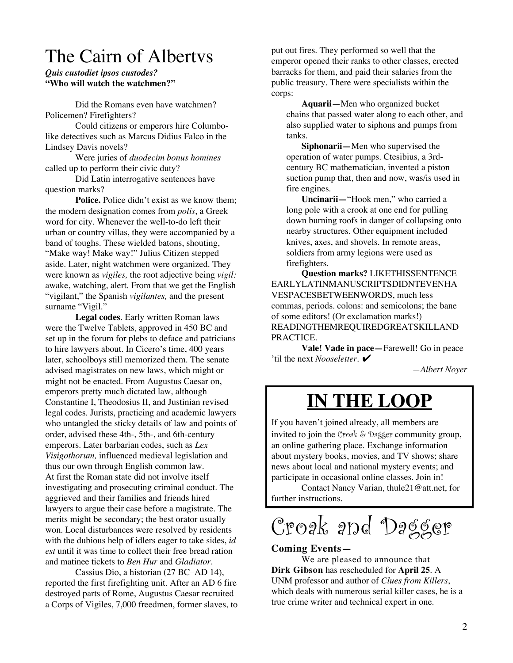# The Cairn of Albertvs

### *Quis custodiet ipsos custodes?* **"Who will watch the watchmen?"**

Did the Romans even have watchmen? Policemen? Firefighters?

Could citizens or emperors hire Columbolike detectives such as Marcus Didius Falco in the Lindsey Davis novels?

Were juries of *duodecim bonus homines* called up to perform their civic duty?

Did Latin interrogative sentences have question marks?

**Police.** Police didn't exist as we know them: the modern designation comes from *polis*, a Greek word for city. Whenever the well-to-do left their urban or country villas, they were accompanied by a band of toughs. These wielded batons, shouting, "Make way! Make way!" Julius Citizen stepped aside. Later, night watchmen were organized. They were known as *vigiles,* the root adjective being *vigil:* awake, watching, alert. From that we get the English "vigilant," the Spanish *vigilantes,* and the present surname "Vigil."

**Legal codes**. Early written Roman laws were the Twelve Tablets, approved in 450 BC and set up in the forum for plebs to deface and patricians to hire lawyers about. In Cicero's time, 400 years later, schoolboys still memorized them. The senate advised magistrates on new laws, which might or might not be enacted. From Augustus Caesar on, emperors pretty much dictated law, although Constantine I, Theodosius II, and Justinian revised legal codes. Jurists, practicing and academic lawyers who untangled the sticky details of law and points of order, advised these 4th-, 5th-, and 6th-century emperors. Later barbarian codes, such as *Lex Visigothorum,* influenced medieval legislation and thus our own through English common law. At first the Roman state did not involve itself investigating and prosecuting criminal conduct. The aggrieved and their families and friends hired lawyers to argue their case before a magistrate. The merits might be secondary; the best orator usually won. Local disturbances were resolved by residents with the dubious help of idlers eager to take sides, *id est* until it was time to collect their free bread ration and matinee tickets to *Ben Hur* and *Gladiator*.

Cassius Dio, a historian (27 BC–AD 14), reported the first firefighting unit. After an AD 6 fire destroyed parts of Rome, Augustus Caesar recruited a Corps of Vigiles, 7,000 freedmen, former slaves, to

put out fires. They performed so well that the emperor opened their ranks to other classes, erected barracks for them, and paid their salaries from the public treasury. There were specialists within the corps:

**Aquarii**—Men who organized bucket chains that passed water along to each other, and also supplied water to siphons and pumps from tanks.

**Siphonarii—**Men who supervised the operation of water pumps. Ctesibius, a 3rdcentury BC mathematician, invented a piston suction pump that, then and now, was/is used in fire engines.

**Uncinarii—**"Hook men," who carried a long pole with a crook at one end for pulling down burning roofs in danger of collapsing onto nearby structures. Other equipment included knives, axes, and shovels. In remote areas, soldiers from army legions were used as firefighters.

**Question marks?** LIKETHISSENTENCE EARLYLATINMANUSCRIPTSDIDNTEVENHA VESPACESBETWEENWORDS, much less commas, periods. colons: and semicolons; the bane of some editors! (Or exclamation marks!) READINGTHEMREQUIREDGREATSKILLAND PRACTICE.

**Vale! Vade in pace—**Farewell! Go in peace 'til the next *Nooseletter*. ✔

*—Albert Noyer*

# **IN THE LOOP**

If you haven't joined already, all members are invited to join the Croak  $\&$  Dagger community group, an online gathering place. Exchange information about mystery books, movies, and TV shows; share news about local and national mystery events; and participate in occasional online classes. Join in!

Contact Nancy Varian, thule21@att.net, for further instructions.

Croak and Dagger

### **Coming Events—**

We are pleased to announce that **Dirk Gibson** has rescheduled for **April 25**. A UNM professor and author of *Clues from Killers*, which deals with numerous serial killer cases, he is a true crime writer and technical expert in one.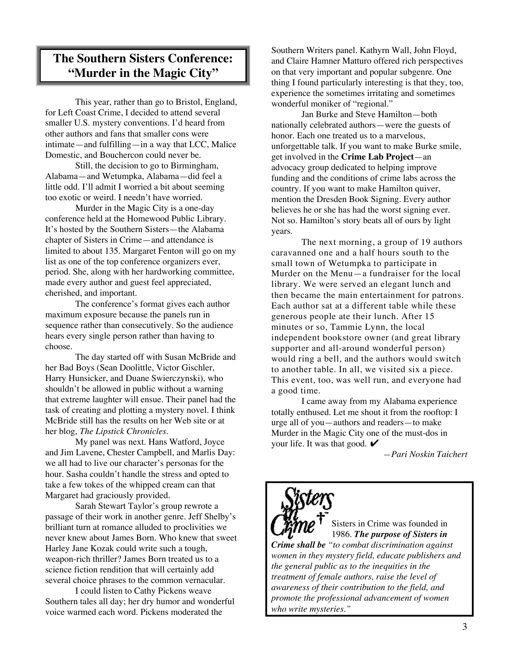### **The Southern Sisters Conference: "Murder in the Magic City"**

This year, rather than go to Bristol, England, for Left Coast Crime, I decided to attend several smaller U.S. mystery conventions. I'd heard from other authors and fans that smaller cons were intimate—and fulfilling—in a way that LCC, Malice Domestic, and Bouchercon could never be.

Still, the decision to go to Birmingham, Alabama—and Wetumpka, Alabama—did feel a little odd. I'll admit I worried a bit about seeming too exotic or weird. I needn't have worried.

Murder in the Magic City is a one-day conference held at the Homewood Public Library. It's hosted by the Southern Sisters—the Alabama chapter of Sisters in Crime—and attendance is limited to about 135. Margaret Fenton will go on my list as one of the top conference organizers ever, period. She, along with her hardworking committee, made every author and guest feel appreciated, cherished, and important.

The conference's format gives each author maximum exposure because the panels run in sequence rather than consecutively. So the audience hears every single person rather than having to choose.

The day started off with Susan McBride and her Bad Boys (Sean Doolittle, Victor Gischler, Harry Hunsicker, and Duane Swierczynski), who shouldn't be allowed in public without a warning that extreme laughter will ensue. Their panel had the task of creating and plotting a mystery novel. I think McBride still has the results on her Web site or at her blog, *The Lipstick Chronicles.*

My panel was next. Hans Watford, Joyce and Jim Lavene, Chester Campbell, and Marlis Day: we all had to live our character's personas for the hour. Sasha couldn't handle the stress and opted to take a few tokes of the whipped cream can that Margaret had graciously provided.

Sarah Stewart Taylor's group rewrote a passage of their work in another genre. Jeff Shelby's brilliant turn at romance alluded to proclivities we never knew about James Born. Who knew that sweet Harley Jane Kozak could write such a tough, weapon-rich thriller? James Born treated us to a science fiction rendition that will certainly add several choice phrases to the common vernacular.

I could listen to Cathy Pickens weave Southern tales all day; her dry humor and wonderful voice warmed each word. Pickens moderated the

Southern Writers panel. Kathyrn Wall, John Floyd, and Claire Hamner Matturo offered rich perspectives on that very important and popular subgenre. One thing I found particularly interesting is that they, too, experience the sometimes irritating and sometimes wonderful moniker of "regional."

Jan Burke and Steve Hamilton—both nationally celebrated authors—were the guests of honor. Each one treated us to a marvelous, unforgettable talk. If you want to make Burke smile, get involved in the **Crime Lab Project**—an advocacy group dedicated to helping improve funding and the conditions of crime labs across the country. If you want to make Hamilton quiver, mention the Dresden Book Signing. Every author believes he or she has had the worst signing ever. Not so. Hamilton's story beats all of ours by light years.

The next morning, a group of 19 authors caravanned one and a half hours south to the small town of Wetumpka to participate in Murder on the Menu—a fundraiser for the local library. We were served an elegant lunch and then became the main entertainment for patrons. Each author sat at a different table while these generous people ate their lunch. After 15 minutes or so, Tammie Lynn, the local independent bookstore owner (and great library supporter and all-around wonderful person) would ring a bell, and the authors would switch to another table. In all, we visited six a piece. This event, too, was well run, and everyone had a good time.

I came away from my Alabama experience totally enthused. Let me shout it from the rooftop: I urge all of you—authors and readers—to make Murder in the Magic City one of the must-dos in your life. It was that good.  $\triangleright$ 

*—Pari Noskin Taichert*



*who write mysteries."*

Sisters in Crime was founded in 1986. *The purpose of Sisters in Crime shall be "to combat discrimination against women in they mystery field, educate publishers and the general public as to the inequities in the treatment of female authors, raise the level of awareness of their contribution to the field, and*

*promote the professional advancement of women*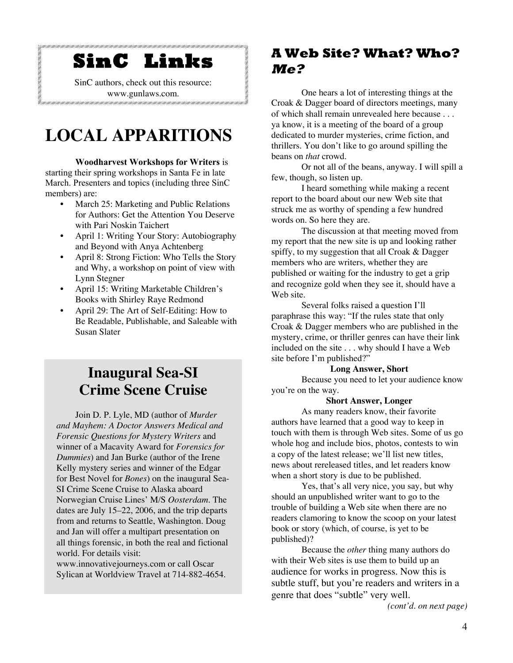# **SinC Links**

SinC authors, check out this resource: www.gunlaws.com.

# **LOCAL APPARITIONS**

**Woodharvest Workshops for Writers** is starting their spring workshops in Santa Fe in late March. Presenters and topics (including three SinC members) are:

- March 25: Marketing and Public Relations for Authors: Get the Attention You Deserve with Pari Noskin Taichert
- April 1: Writing Your Story: Autobiography and Beyond with Anya Achtenberg
- April 8: Strong Fiction: Who Tells the Story and Why, a workshop on point of view with Lynn Stegner
- April 15: Writing Marketable Children's Books with Shirley Raye Redmond
- April 29: The Art of Self-Editing: How to Be Readable, Publishable, and Saleable with Susan Slater

# **Inaugural Sea-SI Crime Scene Cruise**

Join D. P. Lyle, MD (author of *Murder and Mayhem: A Doctor Answers Medical and Forensic Questions for Mystery Writers* and winner of a Macavity Award for *Forensics for Dummies*) and Jan Burke (author of the Irene Kelly mystery series and winner of the Edgar for Best Novel for *Bones*) on the inaugural Sea-SI Crime Scene Cruise to Alaska aboard Norwegian Cruise Lines' M/S *Oosterdam*. The dates are July 15–22, 2006, and the trip departs from and returns to Seattle, Washington. Doug and Jan will offer a multipart presentation on all things forensic, in both the real and fictional world. For details visit:

www.innovativejourneys.com or call Oscar Sylican at Worldview Travel at 714-882-4654.

### **A Web Site? What? Who? Me?**

One hears a lot of interesting things at the Croak & Dagger board of directors meetings, many of which shall remain unrevealed here because . . . ya know, it is a meeting of the board of a group dedicated to murder mysteries, crime fiction, and thrillers. You don't like to go around spilling the beans on *that* crowd.

Or not all of the beans, anyway. I will spill a few, though, so listen up.

I heard something while making a recent report to the board about our new Web site that struck me as worthy of spending a few hundred words on. So here they are.

The discussion at that meeting moved from my report that the new site is up and looking rather spiffy, to my suggestion that all Croak & Dagger members who are writers, whether they are published or waiting for the industry to get a grip and recognize gold when they see it, should have a Web site.

Several folks raised a question I'll paraphrase this way: "If the rules state that only Croak & Dagger members who are published in the mystery, crime, or thriller genres can have their link included on the site . . . why should I have a Web site before I'm published?"

### **Long Answer, Short**

Because you need to let your audience know you're on the way.

### **Short Answer, Longer**

As many readers know, their favorite authors have learned that a good way to keep in touch with them is through Web sites. Some of us go whole hog and include bios, photos, contests to win a copy of the latest release; we'll list new titles, news about rereleased titles, and let readers know when a short story is due to be published.

Yes, that's all very nice, you say, but why should an unpublished writer want to go to the trouble of building a Web site when there are no readers clamoring to know the scoop on your latest book or story (which, of course, is yet to be published)?

Because the *other* thing many authors do with their Web sites is use them to build up an audience for works in progress. Now this is subtle stuff, but you're readers and writers in a genre that does "subtle" very well.

*(cont'd. on next page)*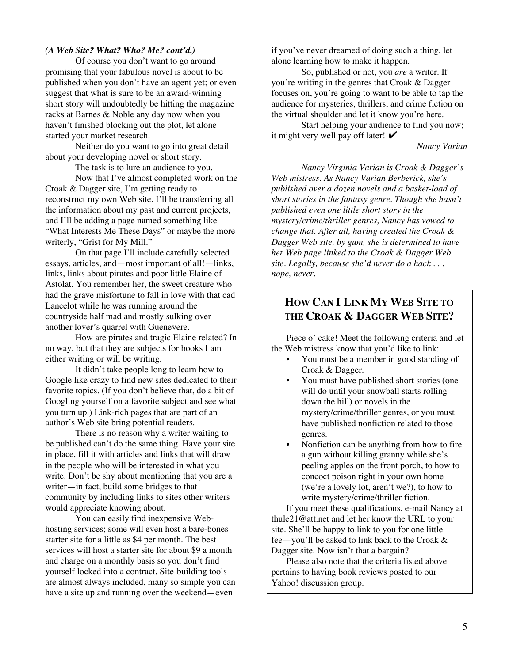### *(A Web Site? What? Who? Me? cont'd.)*

Of course you don't want to go around promising that your fabulous novel is about to be published when you don't have an agent yet; or even suggest that what is sure to be an award-winning short story will undoubtedly be hitting the magazine racks at Barnes & Noble any day now when you haven't finished blocking out the plot, let alone started your market research.

Neither do you want to go into great detail about your developing novel or short story.

The task is to lure an audience to you.

Now that I've almost completed work on the Croak & Dagger site, I'm getting ready to reconstruct my own Web site. I'll be transferring all the information about my past and current projects, and I'll be adding a page named something like "What Interests Me These Days" or maybe the more writerly, "Grist for My Mill."

On that page I'll include carefully selected essays, articles, and—most important of all!—links, links, links about pirates and poor little Elaine of Astolat. You remember her, the sweet creature who had the grave misfortune to fall in love with that cad Lancelot while he was running around the countryside half mad and mostly sulking over another lover's quarrel with Guenevere.

How are pirates and tragic Elaine related? In no way, but that they are subjects for books I am either writing or will be writing.

It didn't take people long to learn how to Google like crazy to find new sites dedicated to their favorite topics. (If you don't believe that, do a bit of Googling yourself on a favorite subject and see what you turn up.) Link-rich pages that are part of an author's Web site bring potential readers.

There is no reason why a writer waiting to be published can't do the same thing. Have your site in place, fill it with articles and links that will draw in the people who will be interested in what you write. Don't be shy about mentioning that you are a writer—in fact, build some bridges to that community by including links to sites other writers would appreciate knowing about.

You can easily find inexpensive Webhosting services; some will even host a bare-bones starter site for a little as \$4 per month. The best services will host a starter site for about \$9 a month and charge on a monthly basis so you don't find yourself locked into a contract. Site-building tools are almost always included, many so simple you can have a site up and running over the weekend—even

if you've never dreamed of doing such a thing, let alone learning how to make it happen.

So, published or not, you *are* a writer. If you're writing in the genres that Croak & Dagger focuses on, you're going to want to be able to tap the audience for mysteries, thrillers, and crime fiction on the virtual shoulder and let it know you're here.

Start helping your audience to find you now; it might very well pay off later!  $\triangleright$ 

*—Nancy Varian*

*Nancy Virginia Varian is Croak & Dagger's Web mistress. As Nancy Varian Berberick, she's published over a dozen novels and a basket-load of short stories in the fantasy genre. Though she hasn't published even one little short story in the mystery/crime/thriller genres, Nancy has vowed to change that. After all, having created the Croak & Dagger Web site, by gum, she is determined to have her Web page linked to the Croak & Dagger Web site. Legally, because she'd never do a hack . . . nope, never.*

### **HOW CAN I LINK MY WEB SITE TO THE CROAK & DAGGER WEB SITE?**

Piece o' cake! Meet the following criteria and let the Web mistress know that you'd like to link:

- You must be a member in good standing of Croak & Dagger.
- You must have published short stories (one will do until your snowball starts rolling down the hill) or novels in the mystery/crime/thriller genres, or you must have published nonfiction related to those genres.
- Nonfiction can be anything from how to fire. a gun without killing granny while she's peeling apples on the front porch, to how to concoct poison right in your own home (we're a lovely lot, aren't we?), to how to write mystery/crime/thriller fiction.

If you meet these qualifications, e-mail Nancy at thule21@att.net and let her know the URL to your site. She'll be happy to link to you for one little fee—you'll be asked to link back to the Croak & Dagger site. Now isn't that a bargain?

Please also note that the criteria listed above pertains to having book reviews posted to our Yahoo! discussion group.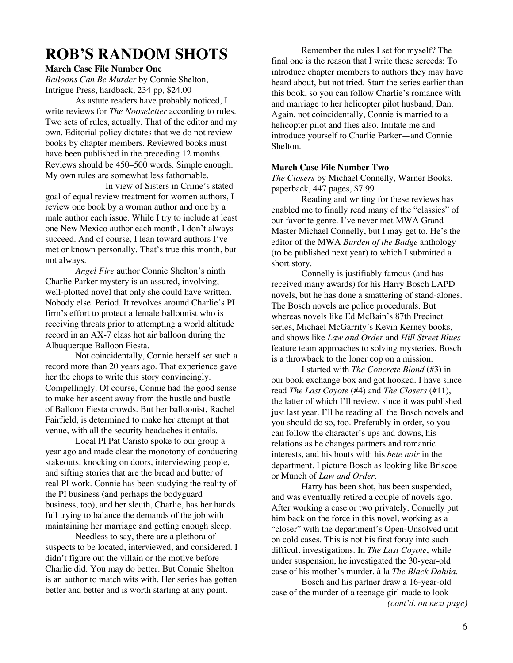### **ROB'S RANDOM SHOTS**

### **March Case File Number One**

*Balloons Can Be Murder* by Connie Shelton, Intrigue Press, hardback, 234 pp, \$24.00

As astute readers have probably noticed, I write reviews for *The Nooseletter* according to rules. Two sets of rules, actually. That of the editor and my own. Editorial policy dictates that we do not review books by chapter members. Reviewed books must have been published in the preceding 12 months. Reviews should be 450–500 words. Simple enough. My own rules are somewhat less fathomable.

In view of Sisters in Crime's stated goal of equal review treatment for women authors, I review one book by a woman author and one by a male author each issue. While I try to include at least one New Mexico author each month, I don't always succeed. And of course, I lean toward authors I've met or known personally. That's true this month, but not always.

*Angel Fire* author Connie Shelton's ninth Charlie Parker mystery is an assured, involving, well-plotted novel that only she could have written. Nobody else. Period. It revolves around Charlie's PI firm's effort to protect a female balloonist who is receiving threats prior to attempting a world altitude record in an AX-7 class hot air balloon during the Albuquerque Balloon Fiesta.

Not coincidentally, Connie herself set such a record more than 20 years ago. That experience gave her the chops to write this story convincingly. Compellingly. Of course, Connie had the good sense to make her ascent away from the hustle and bustle of Balloon Fiesta crowds. But her balloonist, Rachel Fairfield, is determined to make her attempt at that venue, with all the security headaches it entails.

Local PI Pat Caristo spoke to our group a year ago and made clear the monotony of conducting stakeouts, knocking on doors, interviewing people, and sifting stories that are the bread and butter of real PI work. Connie has been studying the reality of the PI business (and perhaps the bodyguard business, too), and her sleuth, Charlie, has her hands full trying to balance the demands of the job with maintaining her marriage and getting enough sleep.

Needless to say, there are a plethora of suspects to be located, interviewed, and considered. I didn't figure out the villain or the motive before Charlie did. You may do better. But Connie Shelton is an author to match wits with. Her series has gotten better and better and is worth starting at any point.

Remember the rules I set for myself? The final one is the reason that I write these screeds: To introduce chapter members to authors they may have heard about, but not tried. Start the series earlier than this book, so you can follow Charlie's romance with and marriage to her helicopter pilot husband, Dan. Again, not coincidentally, Connie is married to a helicopter pilot and flies also. Imitate me and introduce yourself to Charlie Parker—and Connie Shelton.

### **March Case File Number Two**

*The Closers* by Michael Connelly, Warner Books, paperback, 447 pages, \$7.99

Reading and writing for these reviews has enabled me to finally read many of the "classics" of our favorite genre. I've never met MWA Grand Master Michael Connelly, but I may get to. He's the editor of the MWA *Burden of the Badge* anthology (to be published next year) to which I submitted a short story.

Connelly is justifiably famous (and has received many awards) for his Harry Bosch LAPD novels, but he has done a smattering of stand-alones. The Bosch novels are police procedurals. But whereas novels like Ed McBain's 87th Precinct series, Michael McGarrity's Kevin Kerney books, and shows like *Law and Order* and *Hill Street Blues* feature team approaches to solving mysteries, Bosch is a throwback to the loner cop on a mission.

I started with *The Concrete Blond* (#3) in our book exchange box and got hooked. I have since read *The Last Coyote* (#4) and *The Closers* (#11), the latter of which I'll review, since it was published just last year. I'll be reading all the Bosch novels and you should do so, too. Preferably in order, so you can follow the character's ups and downs, his relations as he changes partners and romantic interests, and his bouts with his *bete noir* in the department. I picture Bosch as looking like Briscoe or Munch of *Law and Order*.

Harry has been shot, has been suspended, and was eventually retired a couple of novels ago. After working a case or two privately, Connelly put him back on the force in this novel, working as a "closer" with the department's Open-Unsolved unit on cold cases. This is not his first foray into such difficult investigations. In *The Last Coyote*, while under suspension, he investigated the 30-year-old case of his mother's murder, à la *The Black Dahlia*.

Bosch and his partner draw a 16-year-old case of the murder of a teenage girl made to look *(cont'd. on next page)*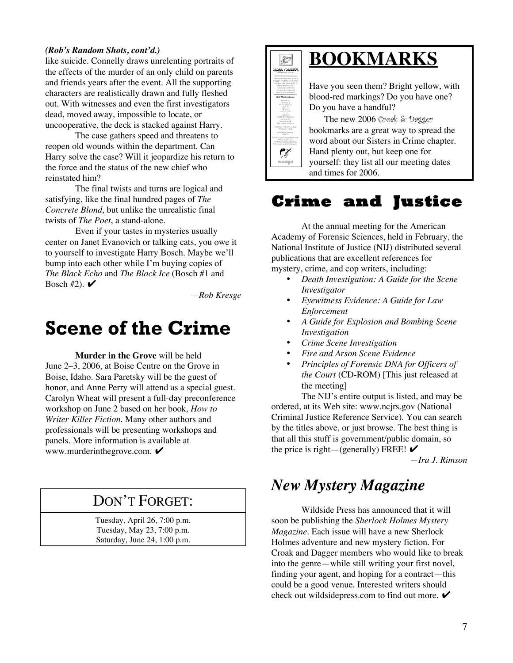### *(Rob's Random Shots, cont'd.)*

like suicide. Connelly draws unrelenting portraits of the effects of the murder of an only child on parents and friends years after the event. All the supporting characters are realistically drawn and fully fleshed out. With witnesses and even the first investigators dead, moved away, impossible to locate, or uncooperative, the deck is stacked against Harry.

The case gathers speed and threatens to reopen old wounds within the department. Can Harry solve the case? Will it jeopardize his return to the force and the status of the new chief who reinstated him?

The final twists and turns are logical and satisfying, like the final hundred pages of *The Concrete Blond*, but unlike the unrealistic final twists of *The Poet*, a stand-alone.

Even if your tastes in mysteries usually center on Janet Evanovich or talking cats, you owe it to yourself to investigate Harry Bosch. Maybe we'll bump into each other while I'm buying copies of *The Black Echo* and *The Black Ice* (Bosch #1 and Bosch #2).  $\blacktriangleright$ 

*—Rob Kresge*

# **Scene of the Crime**

**Murder in the Grove** will be held June 2–3, 2006, at Boise Centre on the Grove in Boise, Idaho. Sara Paretsky will be the guest of honor, and Anne Perry will attend as a special guest. Carolyn Wheat will present a full-day preconference workshop on June 2 based on her book, *How to Writer Killer Fiction*. Many other authors and professionals will be presenting workshops and panels. More information is available at www.murderinthegrove.com. ✔

### DON'T FORGET:

Tuesday, April 26, 7:00 p.m. Tuesday, May 23, 7:00 p.m. Saturday, June 24, 1:00 p.m.

### **BOOKMARKS TEDDAC - JAGGET**

 $\sqrt{\frac{Spters}{Cpm}}$ 

 $\mathbb{C}$ woxivigan

Have you seen them? Bright yellow, with blood-red markings? Do you have one? Do you have a handful?

The new 2006 Croak & Dagger bookmarks are a great way to spread the word about our Sisters in Crime chapter. Hand plenty out, but keep one for yourself: they list all our meeting dates and times for 2006.

### **Crime and Justice**

At the annual meeting for the American Academy of Forensic Sciences, held in February, the National Institute of Justice (NIJ) distributed several publications that are excellent references for mystery, crime, and cop writers, including:

- *Death Investigation: A Guide for the Scene Investigator*
- *Eyewitness Evidence: A Guide for Law Enforcement*
- *A Guide for Explosion and Bombing Scene Investigation*
- *Crime Scene Investigation*
- *Fire and Arson Scene Evidence*
- *Principles of Forensic DNA for Officers of the Court* (CD-ROM) [This just released at the meeting]

The NIJ's entire output is listed, and may be ordered, at its Web site: www.ncjrs.gov (National Criminal Justice Reference Service). You can search by the titles above, or just browse. The best thing is that all this stuff is government/public domain, so the price is right—(generally) FREE!  $\triangleright$ 

*—Ira J. Rimson*

## *New Mystery Magazine*

Wildside Press has announced that it will soon be publishing the *Sherlock Holmes Mystery Magazine.* Each issue will have a new Sherlock Holmes adventure and new mystery fiction. For Croak and Dagger members who would like to break into the genre—while still writing your first novel, finding your agent, and hoping for a contract—this could be a good venue. Interested writers should check out wildsidepress.com to find out more.  $\blacktriangleright$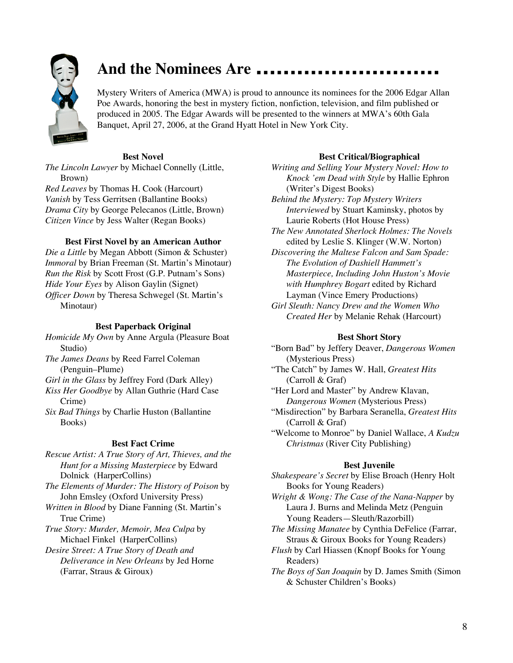

## **And the Nominees Are**

Mystery Writers of America (MWA) is proud to announce its nominees for the 2006 Edgar Allan Poe Awards, honoring the best in mystery fiction, nonfiction, television, and film published or produced in 2005. The Edgar Awards will be presented to the winners at MWA's 60th Gala Banquet, April 27, 2006, at the Grand Hyatt Hotel in New York City.

### **Best Novel**

*The Lincoln Lawyer* by Michael Connelly (Little, Brown)

*Red Leaves* by Thomas H. Cook (Harcourt) *Vanish* by Tess Gerritsen (Ballantine Books) *Drama City* by George Pelecanos (Little, Brown) *Citizen Vince* by Jess Walter (Regan Books)

### **Best First Novel by an American Author**

*Die a Little* by Megan Abbott (Simon & Schuster) *Immoral* by Brian Freeman (St. Martin's Minotaur) *Run the Risk* by Scott Frost (G.P. Putnam's Sons) *Hide Your Eyes* by Alison Gaylin (Signet) *Officer Down* by Theresa Schwegel (St. Martin's Minotaur)

#### **Best Paperback Original**

*Homicide My Own* by Anne Argula (Pleasure Boat Studio)

*The James Deans* by Reed Farrel Coleman (Penguin–Plume)

*Girl in the Glass* by Jeffrey Ford (Dark Alley)

*Kiss Her Goodbye* by Allan Guthrie (Hard Case Crime)

*Six Bad Things* by Charlie Huston (Ballantine Books)

### **Best Fact Crime**

*Rescue Artist: A True Story of Art, Thieves, and the Hunt for a Missing Masterpiece* by Edward Dolnick (HarperCollins)

*The Elements of Murder: The History of Poison* by John Emsley (Oxford University Press)

*Written in Blood* by Diane Fanning (St. Martin's True Crime)

*True Story: Murder, Memoir, Mea Culpa* by Michael Finkel (HarperCollins)

*Desire Street: A True Story of Death and Deliverance in New Orleans* by Jed Horne (Farrar, Straus & Giroux)

#### **Best Critical/Biographical**

*Writing and Selling Your Mystery Novel: How to Knock 'em Dead with Style* by Hallie Ephron (Writer's Digest Books)

*Behind the Mystery: Top Mystery Writers Interviewed* by Stuart Kaminsky, photos by Laurie Roberts (Hot House Press)

*The New Annotated Sherlock Holmes: The Novels* edited by Leslie S. Klinger (W.W. Norton)

*Discovering the Maltese Falcon and Sam Spade: The Evolution of Dashiell Hammett's Masterpiece, Including John Huston's Movie with Humphrey Bogart* edited by Richard Layman (Vince Emery Productions)

*Girl Sleuth: Nancy Drew and the Women Who Created Her* by Melanie Rehak (Harcourt)

#### **Best Short Story**

"Born Bad" by Jeffery Deaver, *Dangerous Women* (Mysterious Press)

"The Catch" by James W. Hall, *Greatest Hits* (Carroll & Graf)

"Her Lord and Master" by Andrew Klavan, *Dangerous Women* (Mysterious Press)

"Misdirection" by Barbara Seranella, *Greatest Hits* (Carroll & Graf)

"Welcome to Monroe" by Daniel Wallace, *A Kudzu Christmas* (River City Publishing)

### **Best Juvenile**

*Shakespeare's Secret* by Elise Broach (Henry Holt Books for Young Readers)

*Wright & Wong: The Case of the Nana-Napper* by Laura J. Burns and Melinda Metz (Penguin Young Readers—Sleuth/Razorbill)

*The Missing Manatee* by Cynthia DeFelice (Farrar, Straus & Giroux Books for Young Readers)

*Flush* by Carl Hiassen (Knopf Books for Young Readers)

*The Boys of San Joaquin* by D. James Smith (Simon & Schuster Children's Books)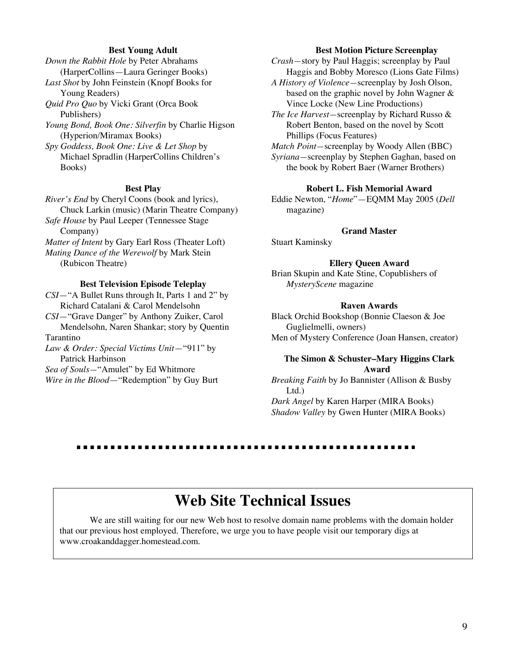#### **Best Young Adult**

*Down the Rabbit Hole* by Peter Abrahams (HarperCollins—Laura Geringer Books)

*Last Shot* by John Feinstein (Knopf Books for Young Readers)

*Quid Pro Quo* by Vicki Grant (Orca Book Publishers)

*Young Bond, Book One: Silverfin* by Charlie Higson (Hyperion/Miramax Books)

*Spy Goddess, Book One: Live & Let Shop* by Michael Spradlin (HarperCollins Children's Books)

### **Best Play**

*River's End* by Cheryl Coons (book and lyrics), Chuck Larkin (music) (Marin Theatre Company)

*Safe House* by Paul Leeper (Tennessee Stage Company)

*Matter of Intent* by Gary Earl Ross (Theater Loft)

*Mating Dance of the Werewolf* by Mark Stein (Rubicon Theatre)

#### **Best Television Episode Teleplay**

*CSI*—"A Bullet Runs through It, Parts 1 and 2" by Richard Catalani & Carol Mendelsohn

*CSI*—"Grave Danger" by Anthony Zuiker, Carol Mendelsohn, Naren Shankar; story by Quentin Tarantino

*Law & Order: Special Victims Unit*—"911" by Patrick Harbinson

*Sea of Souls—*"Amulet" by Ed Whitmore *Wire in the Blood*—"Redemption" by Guy Burt

#### **Best Motion Picture Screenplay**

*Crash—*story by Paul Haggis; screenplay by Paul Haggis and Bobby Moresco (Lions Gate Films)

*A History of Violence—*screenplay by Josh Olson, based on the graphic novel by John Wagner & Vince Locke (New Line Productions)

*The Ice Harvest—*screenplay by Richard Russo & Robert Benton, based on the novel by Scott Phillips (Focus Features)

*Match Point—*screenplay by Woody Allen (BBC) *Syriana—*screenplay by Stephen Gaghan, based on the book by Robert Baer (Warner Brothers)

#### **Robert L. Fish Memorial Award**

Eddie Newton, "*Home*"—EQMM May 2005 (*Dell* magazine)

### **Grand Master**

Stuart Kaminsky

#### **Ellery Queen Award**

Brian Skupin and Kate Stine, Copublishers of *MysteryScene* magazine

### **Raven Awards**

Black Orchid Bookshop (Bonnie Claeson & Joe Guglielmelli, owners) Men of Mystery Conference (Joan Hansen, creator)

#### **The Simon & Schuster–Mary Higgins Clark Award**

*Breaking Faith* by Jo Bannister (Allison & Busby Ltd.)

*Dark Angel* by Karen Harper (MIRA Books) *Shadow Valley* by Gwen Hunter (MIRA Books)

## **Web Site Technical Issues**

We are still waiting for our new Web host to resolve domain name problems with the domain holder that our previous host employed. Therefore, we urge you to have people visit our temporary digs at www.croakanddagger.homestead.com.